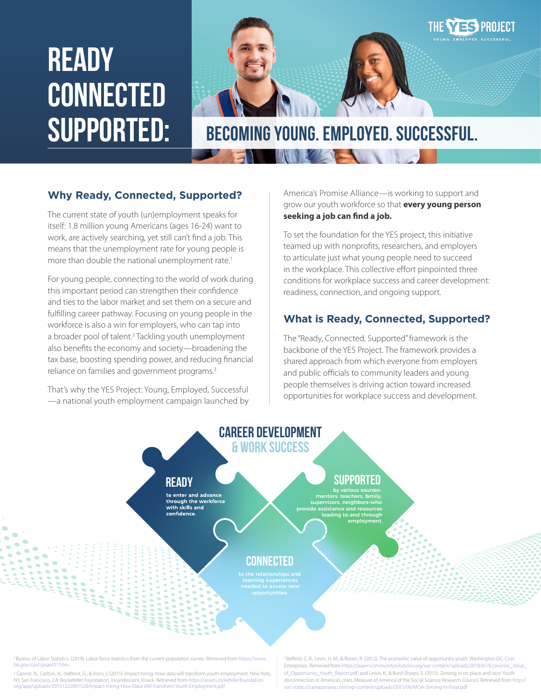# **READY CONNECTED**



**SUPPORTED: Becoming Young. Employed. Successful.** 

#### **Why Ready, Connected, Supported?**

The current state of youth (un)employment speaks for itself: 1.8 million young Americans (ages 16-24) want to work, are actively searching, yet still can't find a job. This means that the unemployment rate for young people is more than double the national unemployment rate.<sup>1</sup>

For young people, connecting to the world of work during this important period can strengthen their confidence and ties to the labor market and set them on a secure and fulfilling career pathway. Focusing on young people in the workforce is also a win for employers, who can tap into a broader pool of talent.<sup>2</sup> Tackling youth unemployment also benefits the economy and society—broadening the tax base, boosting spending power, and reducing financial reliance on families and government programs.<sup>3</sup>

That's why the YES Project: Young, Employed, Successful —a national youth employment campaign launched by America's Promise Alliance—is working to support and grow our youth workforce so that **every young person seeking a job can find a job.** 

To set the foundation for the YES project, this initiative teamed up with nonprofits, researchers, and employers to articulate just what young people need to succeed in the workplace. This collective effort pinpointed three conditions for workplace success and career development: readiness, connection, and ongoing support.

#### **What is Ready, Connected, Supported?**

The "Ready, Connected, Supported" framework is the backbone of the YES Project. The framework provides a shared approach from which everyone from employers and public officials to community leaders and young people themselves is driving action toward increased opportunities for workplace success and development.



1 Bureau of Labor Statistics. (2019). Labor force statistics from the current population survey. Retrieved from [https://www.](https://www.bls.gov/cps/cpsaat31.htm) [bls.gov/cps/cpsaat31.htm](https://www.bls.gov/cps/cpsaat31.htm).

2 Canner, N., Carlton, A., Halfteck, G., & Irons, J. (2015). Impact hiring: How data will transform youth employment. New York, NY, San Francisco, CA: Rockefeller Foundation, Incandescent, Knack. Retrieved from [https://assets.rockefellerfoundation.](https://assets.rockefellerfoundation.org/app/uploads/20151222091528/Impact-Hiring-How-Data-Will-Transform-Youth-Employment.pdf) [org/app/uploads/20151222091528/Impact-Hiring-How-Data-Will-Transform-Youth-Employment.pdf](https://assets.rockefellerfoundation.org/app/uploads/20151222091528/Impact-Hiring-How-Data-Will-Transform-Youth-Employment.pdf)

[3 Belfield, C. R., Levin, H. M., & Rosen, R. \(2012\). The economic value of opportunity youth.](3 Belfield, C. R., Levin, H. M., & Rosen, R. (2012). The economic value of opportunity youth. Washington DC: Civic Enterprises. Retrieved from https://aspencommunitysolutions.org/wp-content/uploads/2018/07/Economic_Value_of_Opportunity_Youth_Report.pd) Washington DC: Civic [Enterprises. Retrieved from https://aspencommunitysolutions.org/wp-content/uploads/2018/07/Economic\\_Value\\_](3 Belfield, C. R., Levin, H. M., & Rosen, R. (2012). The economic value of opportunity youth. Washington DC: Civic Enterprises. Retrieved from https://aspencommunitysolutions.org/wp-content/uploads/2018/07/Economic_Value_of_Opportunity_Youth_Report.pd) [of\\_Opportunity\\_Youth\\_Report.pd](3 Belfield, C. R., Levin, H. M., & Rosen, R. (2012). The economic value of opportunity youth. Washington DC: Civic Enterprises. Retrieved from https://aspencommunitysolutions.org/wp-content/uploads/2018/07/Economic_Value_of_Opportunity_Youth_Report.pd)f; and Lewis, K., & Burd-Sharps, S. (2015). Zeroing in on place and race: Youth disconnection in America's cities. Measure of America of the Social Science Research Council. Retrieved from [http://](http://ssrc-static.s3.amazonaws.com/wp-content/uploads/2015/06/MOA-Zeroing-In-Final.pdf) [ssrc-static.s3.amazonaws.com/wp-content/uploads/2015/06/MOA-Zeroing-In-Final.pdf](http://ssrc-static.s3.amazonaws.com/wp-content/uploads/2015/06/MOA-Zeroing-In-Final.pdf)